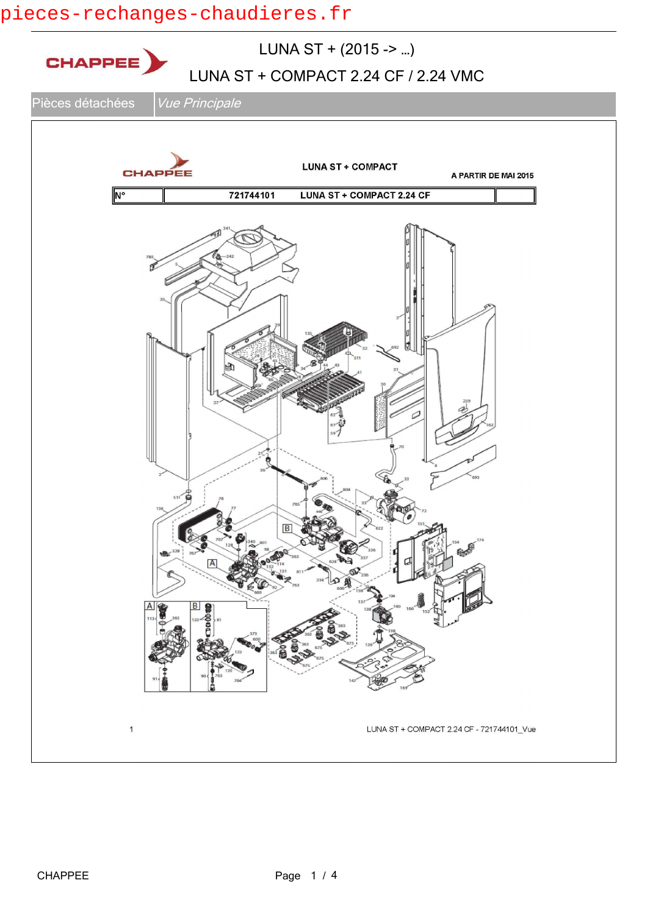### pieces-rechanges-chaudieres.fr

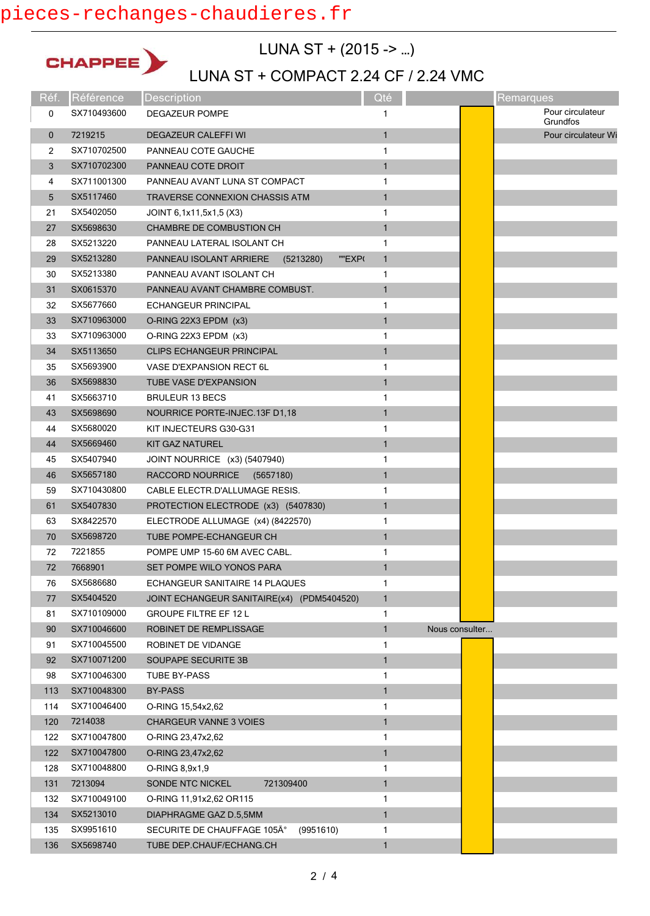### pieces-rechanges-chaudieres.fr



LUNA ST + (2015 -> …)

## LUNA ST + COMPACT 2.24 CF / 2.24 VMC

| Réf.        | Référence   | <b>Description</b>                             | Qté          |                | Remarques                    |
|-------------|-------------|------------------------------------------------|--------------|----------------|------------------------------|
| 0           | SX710493600 | DEGAZEUR POMPE                                 | 1            |                | Pour circulateur<br>Grundfos |
| $\mathbf 0$ | 7219215     | <b>DEGAZEUR CALEFFI WI</b>                     | $\mathbf{1}$ |                | Pour circulateur Wi          |
| 2           | SX710702500 | PANNEAU COTE GAUCHE                            | 1            |                |                              |
| 3           | SX710702300 | PANNEAU COTE DROIT                             | $\mathbf{1}$ |                |                              |
| 4           | SX711001300 | PANNEAU AVANT LUNA ST COMPACT                  | $\mathbf{1}$ |                |                              |
| 5           | SX5117460   | TRAVERSE CONNEXION CHASSIS ATM                 | $\mathbf{1}$ |                |                              |
| 21          | SX5402050   | JOINT 6,1x11,5x1,5 (X3)                        | 1            |                |                              |
| 27          | SX5698630   | CHAMBRE DE COMBUSTION CH                       | $\mathbf{1}$ |                |                              |
| 28          | SX5213220   | PANNEAU LATERAL ISOLANT CH                     | 1            |                |                              |
| 29          | SX5213280   | PANNEAU ISOLANT ARRIERE<br>(5213280)<br>""EXP( | $\mathbf{1}$ |                |                              |
| 30          | SX5213380   | PANNEAU AVANT ISOLANT CH                       | $\mathbf{1}$ |                |                              |
| 31          | SX0615370   | PANNEAU AVANT CHAMBRE COMBUST.                 | $\mathbf{1}$ |                |                              |
| 32          | SX5677660   | ECHANGEUR PRINCIPAL                            | 1            |                |                              |
| 33          | SX710963000 | O-RING 22X3 EPDM (x3)                          | $\mathbf{1}$ |                |                              |
| 33          | SX710963000 | O-RING 22X3 EPDM (x3)                          | 1            |                |                              |
| 34          | SX5113650   | <b>CLIPS ECHANGEUR PRINCIPAL</b>               | $\mathbf{1}$ |                |                              |
| 35          | SX5693900   | VASE D'EXPANSION RECT 6L                       | 1            |                |                              |
| 36          | SX5698830   | <b>TUBE VASE D'EXPANSION</b>                   | $\mathbf{1}$ |                |                              |
| 41          | SX5663710   | <b>BRULEUR 13 BECS</b>                         | 1            |                |                              |
| 43          | SX5698690   | NOURRICE PORTE-INJEC.13F D1,18                 | $\mathbf{1}$ |                |                              |
| 44          | SX5680020   | KIT INJECTEURS G30-G31                         | 1            |                |                              |
| 44          | SX5669460   | <b>KIT GAZ NATUREL</b>                         | $\mathbf{1}$ |                |                              |
| 45          | SX5407940   | JOINT NOURRICE (x3) (5407940)                  | 1            |                |                              |
| 46          | SX5657180   | RACCORD NOURRICE (5657180)                     | $\mathbf{1}$ |                |                              |
| 59          | SX710430800 | CABLE ELECTR.D'ALLUMAGE RESIS.                 | $\mathbf{1}$ |                |                              |
| 61          | SX5407830   | PROTECTION ELECTRODE (x3) (5407830)            | $\mathbf{1}$ |                |                              |
| 63          | SX8422570   | ELECTRODE ALLUMAGE (x4) (8422570)              | 1            |                |                              |
| 70          | SX5698720   | TUBE POMPE-ECHANGEUR CH                        | $\mathbf{1}$ |                |                              |
| 72          | 7221855     | POMPE UMP 15-60 6M AVEC CABL.                  | 1            |                |                              |
| 72          | 7668901     | SET POMPE WILO YONOS PARA                      | $\mathbf{1}$ |                |                              |
| 76          | SX5686680   | ECHANGEUR SANITAIRE 14 PLAQUES                 | 1            |                |                              |
| 77          | SX5404520   | JOINT ECHANGEUR SANITAIRE(x4) (PDM5404520)     | $\mathbf{1}$ |                |                              |
| 81          | SX710109000 | <b>GROUPE FILTRE EF 12 L</b>                   | 1            |                |                              |
| 90          | SX710046600 | ROBINET DE REMPLISSAGE                         | 1            | Nous consulter |                              |
| 91          | SX710045500 | ROBINET DE VIDANGE                             | 1            |                |                              |
| 92          | SX710071200 | SOUPAPE SECURITE 3B                            | $\mathbf{1}$ |                |                              |
| 98          | SX710046300 | TUBE BY-PASS                                   | 1            |                |                              |
| 113         | SX710048300 | <b>BY-PASS</b>                                 | $\mathbf{1}$ |                |                              |
| 114         | SX710046400 | O-RING 15,54x2,62                              | 1            |                |                              |
| 120         | 7214038     | CHARGEUR VANNE 3 VOIES                         | $\mathbf{1}$ |                |                              |
| 122         | SX710047800 | O-RING 23,47x2,62                              | 1            |                |                              |
| 122         | SX710047800 | O-RING 23,47x2,62                              | $\mathbf{1}$ |                |                              |
| 128         | SX710048800 | O-RING 8,9x1,9                                 | 1            |                |                              |
| 131         | 7213094     | 721309400<br>SONDE NTC NICKEL                  | $\mathbf{1}$ |                |                              |
| 132         | SX710049100 | O-RING 11,91x2,62 OR115                        | 1            |                |                              |
| 134         | SX5213010   | DIAPHRAGME GAZ D.5,5MM                         | $\mathbf{1}$ |                |                              |
| 135         | SX9951610   | (9951610)<br>SECURITE DE CHAUFFAGE 105°        | 1            |                |                              |
| 136         | SX5698740   | TUBE DEP.CHAUF/ECHANG.CH                       | 1            |                |                              |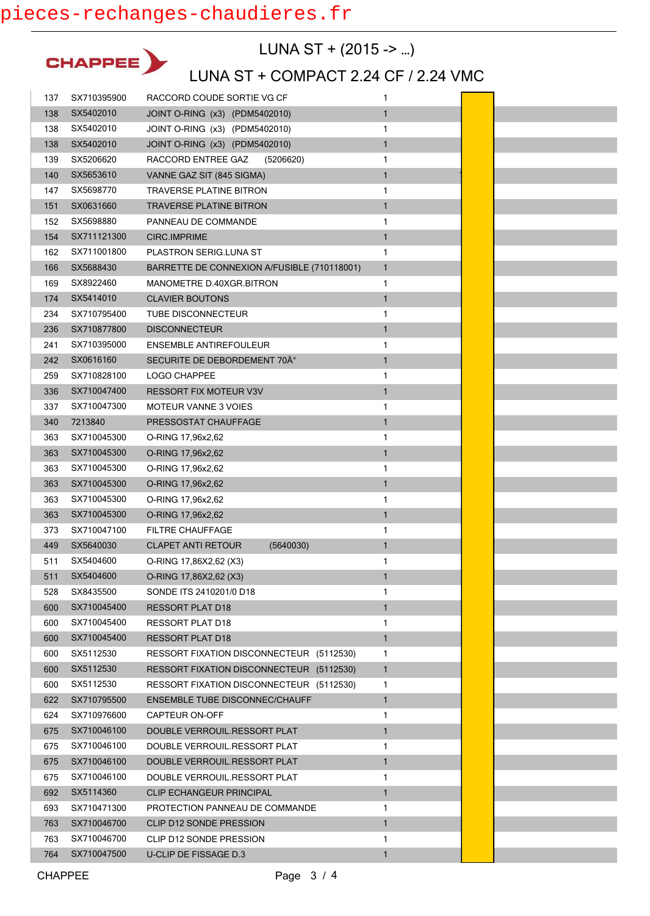

LUNA ST + (2015 -> …)

### LUNA ST + COMPACT 2.24 CF / 2.24 VMC

e<br>S

E

| 137 | SX710395900 | RACCORD COUDE SORTIE VG CF                  | 1            |  |
|-----|-------------|---------------------------------------------|--------------|--|
| 138 | SX5402010   | JOINT O-RING (x3) (PDM5402010)              | $\mathbf{1}$ |  |
| 138 | SX5402010   | JOINT O-RING (x3) (PDM5402010)              | 1            |  |
| 138 | SX5402010   | JOINT O-RING (x3) (PDM5402010)              | $\mathbf{1}$ |  |
| 139 | SX5206620   | RACCORD ENTREE GAZ<br>(5206620)             | 1            |  |
| 140 | SX5653610   | VANNE GAZ SIT (845 SIGMA)                   | $\mathbf{1}$ |  |
| 147 | SX5698770   | <b>TRAVERSE PLATINE BITRON</b>              | 1            |  |
| 151 | SX0631660   | <b>TRAVERSE PLATINE BITRON</b>              | 1            |  |
| 152 | SX5698880   | PANNEAU DE COMMANDE                         | 1            |  |
| 154 | SX711121300 | CIRC.IMPRIME                                | $\mathbf{1}$ |  |
| 162 | SX711001800 | PLASTRON SERIG.LUNA ST                      | 1            |  |
| 166 | SX5688430   | BARRETTE DE CONNEXION A/FUSIBLE (710118001) | $\mathbf{1}$ |  |
| 169 | SX8922460   | MANOMETRE D.40XGR.BITRON                    | 1            |  |
| 174 | SX5414010   | <b>CLAVIER BOUTONS</b>                      | $\mathbf{1}$ |  |
| 234 | SX710795400 | <b>TUBE DISCONNECTEUR</b>                   | 1            |  |
| 236 | SX710877800 | <b>DISCONNECTEUR</b>                        | $\mathbf{1}$ |  |
| 241 | SX710395000 | <b>ENSEMBLE ANTIREFOULEUR</b>               | 1            |  |
| 242 | SX0616160   | SECURITE DE DEBORDEMENT 70Ű                 | $\mathbf{1}$ |  |
| 259 | SX710828100 | <b>LOGO CHAPPEE</b>                         | 1            |  |
| 336 | SX710047400 | <b>RESSORT FIX MOTEUR V3V</b>               | $\mathbf{1}$ |  |
| 337 | SX710047300 | <b>MOTEUR VANNE 3 VOIES</b>                 | 1            |  |
| 340 | 7213840     | PRESSOSTAT CHAUFFAGE                        | $\mathbf{1}$ |  |
| 363 | SX710045300 | O-RING 17,96x2,62                           | 1            |  |
| 363 | SX710045300 | O-RING 17,96x2,62                           | $\mathbf{1}$ |  |
| 363 | SX710045300 | O-RING 17,96x2,62                           | 1            |  |
| 363 | SX710045300 | O-RING 17,96x2,62                           | $\mathbf{1}$ |  |
| 363 | SX710045300 | O-RING 17,96x2,62                           | 1            |  |
| 363 | SX710045300 | O-RING 17,96x2,62                           | $\mathbf{1}$ |  |
| 373 | SX710047100 | <b>FILTRE CHAUFFAGE</b>                     | 1            |  |
| 449 | SX5640030   | <b>CLAPET ANTI RETOUR</b><br>(5640030)      | 1            |  |
| 511 | SX5404600   | O-RING 17,86X2,62 (X3)                      | 1            |  |
| 511 | SX5404600   | O-RING 17,86X2,62 (X3)                      | $\mathbf{1}$ |  |
| 528 | SX8435500   | SONDE ITS 2410201/0 D18                     | 1            |  |
| 600 | SX710045400 | <b>RESSORT PLAT D18</b>                     | $\mathbf{1}$ |  |
| 600 | SX710045400 | RESSORT PLAT D18                            | 1            |  |
| 600 | SX710045400 | <b>RESSORT PLAT D18</b>                     | $\mathbf{1}$ |  |
| 600 | SX5112530   | RESSORT FIXATION DISCONNECTEUR (5112530)    | 1            |  |
| 600 | SX5112530   | RESSORT FIXATION DISCONNECTEUR (5112530)    | 1            |  |
| 600 | SX5112530   | RESSORT FIXATION DISCONNECTEUR (5112530)    | 1            |  |
| 622 | SX710795500 | <b>ENSEMBLE TUBE DISCONNEC/CHAUFF</b>       | $\mathbf{1}$ |  |
| 624 | SX710976600 | CAPTEUR ON-OFF                              | 1            |  |
| 675 | SX710046100 | DOUBLE VERROUIL.RESSORT PLAT                | $\mathbf{1}$ |  |
| 675 | SX710046100 | DOUBLE VERROUIL.RESSORT PLAT                | 1            |  |
| 675 | SX710046100 | DOUBLE VERROUIL.RESSORT PLAT                | 1            |  |
| 675 | SX710046100 | DOUBLE VERROUIL.RESSORT PLAT                | 1            |  |
| 692 | SX5114360   | <b>CLIP ECHANGEUR PRINCIPAL</b>             | $\mathbf{1}$ |  |
| 693 | SX710471300 | PROTECTION PANNEAU DE COMMANDE              | 1            |  |
| 763 | SX710046700 | <b>CLIP D12 SONDE PRESSION</b>              | $\mathbf{1}$ |  |
| 763 | SX710046700 | CLIP D12 SONDE PRESSION                     | 1            |  |
| 764 | SX710047500 | U-CLIP DE FISSAGE D.3                       | $\mathbf{1}$ |  |
|     |             |                                             |              |  |